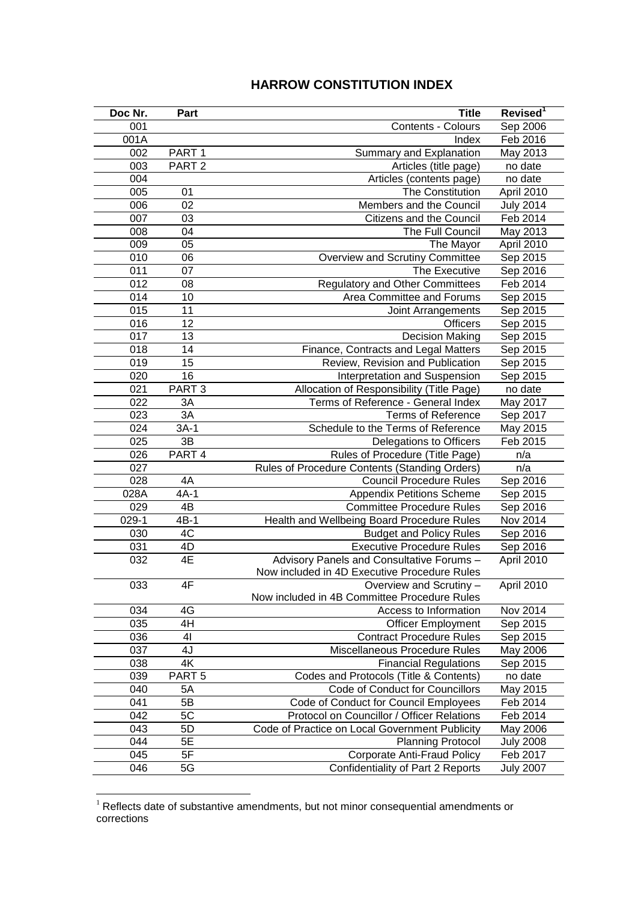## **HARROW CONSTITUTION INDEX**

| Doc Nr. | Part              | <b>Title</b>                                   | Revised <sup>1</sup> |
|---------|-------------------|------------------------------------------------|----------------------|
| 001     |                   | Contents - Colours                             | Sep 2006             |
| 001A    |                   | Index                                          | Feb 2016             |
| 002     | PART <sub>1</sub> | Summary and Explanation                        | May 2013             |
| 003     | PART <sub>2</sub> | Articles (title page)                          | no date              |
| 004     |                   | Articles (contents page)                       | no date              |
| 005     | 01                | The Constitution                               | April 2010           |
| 006     | 02                | Members and the Council                        | <b>July 2014</b>     |
| 007     | 03                | Citizens and the Council                       | Feb 2014             |
| 008     | 04                | The Full Council                               | May 2013             |
| 009     | 05                | The Mayor                                      | April 2010           |
| 010     | 06                | Overview and Scrutiny Committee                | Sep 2015             |
| 011     | 07                | The Executive                                  | Sep 2016             |
| 012     | 08                | <b>Regulatory and Other Committees</b>         | Feb 2014             |
| 014     | 10                | Area Committee and Forums                      | Sep 2015             |
| 015     | 11                | Joint Arrangements                             | Sep 2015             |
| 016     | 12                | <b>Officers</b>                                | Sep 2015             |
| 017     | 13                | <b>Decision Making</b>                         | Sep 2015             |
| 018     | 14                | Finance, Contracts and Legal Matters           | Sep 2015             |
| 019     | 15                | Review, Revision and Publication               | Sep 2015             |
| 020     | 16                | Interpretation and Suspension                  | Sep 2015             |
| 021     | PART <sub>3</sub> | Allocation of Responsibility (Title Page)      | no date              |
| 022     | 3A                | Terms of Reference - General Index             | May 2017             |
| 023     | 3A                | <b>Terms of Reference</b>                      | Sep 2017             |
| 024     | $3A-1$            | Schedule to the Terms of Reference             | May 2015             |
| 025     | 3B                | Delegations to Officers                        | Feb 2015             |
| 026     | PART 4            | Rules of Procedure (Title Page)                | n/a                  |
| 027     |                   | Rules of Procedure Contents (Standing Orders)  | n/a                  |
| 028     | 4A                | <b>Council Procedure Rules</b>                 | Sep 2016             |
| 028A    | $4A-1$            | <b>Appendix Petitions Scheme</b>               | Sep 2015             |
| 029     | 4B                | <b>Committee Procedure Rules</b>               | Sep 2016             |
| $029-1$ | $4B-1$            | Health and Wellbeing Board Procedure Rules     | Nov 2014             |
| 030     | 4C                | <b>Budget and Policy Rules</b>                 | Sep 2016             |
| 031     | 4D                | <b>Executive Procedure Rules</b>               | Sep 2016             |
| 032     | 4E                | Advisory Panels and Consultative Forums -      | April 2010           |
|         |                   | Now included in 4D Executive Procedure Rules   |                      |
| 033     | 4F                | Overview and Scrutiny -                        | April 2010           |
|         |                   | Now included in 4B Committee Procedure Rules   |                      |
| 034     | 4G                | Access to Information                          | Nov 2014             |
| 035     | 4H                | <b>Officer Employment</b>                      | Sep 2015             |
| 036     | 41                | <b>Contract Procedure Rules</b>                | Sep 2015             |
| 037     | 4J                | Miscellaneous Procedure Rules                  | May 2006             |
| 038     | 4K                | <b>Financial Regulations</b>                   | Sep 2015             |
| 039     | PART <sub>5</sub> | Codes and Protocols (Title & Contents)         | no date              |
| 040     | 5A                | Code of Conduct for Councillors                | May 2015             |
| 041     | 5B                | Code of Conduct for Council Employees          | Feb 2014             |
| 042     | 5C                | Protocol on Councillor / Officer Relations     | Feb 2014             |
| 043     | 5D                | Code of Practice on Local Government Publicity | May 2006             |
| 044     | 5E                | <b>Planning Protocol</b>                       | <b>July 2008</b>     |
| 045     | 5F                | <b>Corporate Anti-Fraud Policy</b>             | Feb 2017             |
| 046     | 5G                | Confidentiality of Part 2 Reports              | <b>July 2007</b>     |

 Reflects date of substantive amendments, but not minor consequential amendments or corrections

<u>.</u>